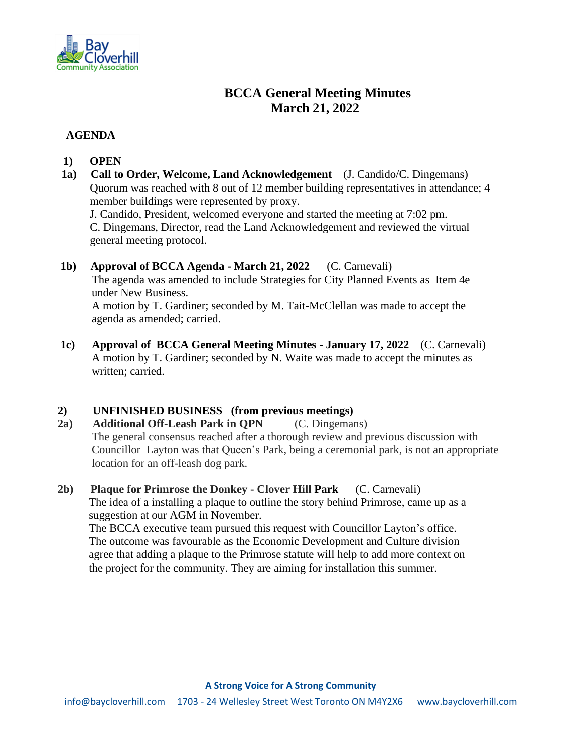

# **BCCA General Meeting Minutes March 21, 2022**

# **AGENDA**

- **1) OPEN**
- **1a) Call to Order, Welcome, Land Acknowledgement** (J. Candido/C. Dingemans) Quorum was reached with 8 out of 12 member building representatives in attendance; 4 member buildings were represented by proxy.

 J. Candido, President, welcomed everyone and started the meeting at 7:02 pm. C. Dingemans, Director, read the Land Acknowledgement and reviewed the virtual general meeting protocol.

# **1b) Approval of BCCA Agenda - March 21, 2022** (C. Carnevali) The agenda was amended to include Strategies for City Planned Events as Item 4e under New Business. A motion by T. Gardiner; seconded by M. Tait-McClellan was made to accept the agenda as amended; carried.

 **1c) Approval of BCCA General Meeting Minutes - January 17, 2022** (C. Carnevali) A motion by T. Gardiner; seconded by N. Waite was made to accept the minutes as written; carried.

# **2) UNFINISHED BUSINESS (from previous meetings)**

**2a) Additional Off-Leash Park in QPN** (C. Dingemans) The general consensus reached after a thorough review and previous discussion with Councillor Layton was that Queen's Park, being a ceremonial park, is not an appropriate location for an off-leash dog park.

**2b) Plaque for Primrose the Donkey - Clover Hill Park** (C. Carnevali) The idea of a installing a plaque to outline the story behind Primrose, came up as a suggestion at our AGM in November. The BCCA executive team pursued this request with Councillor Layton's office. The outcome was favourable as the Economic Development and Culture division agree that adding a plaque to the Primrose statute will help to add more context on the project for the community. They are aiming for installation this summer.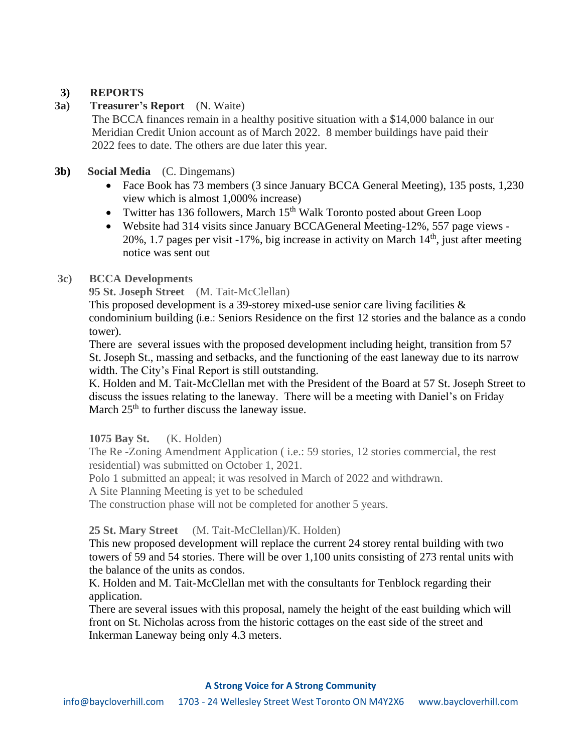# **3) REPORTS**

# **3a) Treasurer's Report** (N. Waite)

 The BCCA finances remain in a healthy positive situation with a \$14,000 balance in our Meridian Credit Union account as of March 2022. 8 member buildings have paid their 2022 fees to date. The others are due later this year.

# **3b) Social Media** (C. Dingemans)

- Face Book has 73 members (3 since January BCCA General Meeting), 135 posts, 1,230 view which is almost 1,000% increase)
- Twitter has 136 followers, March 15<sup>th</sup> Walk Toronto posted about Green Loop
- Website had 314 visits since January BCCAGeneral Meeting-12%, 557 page views 20%, 1.7 pages per visit  $-17\%$ , big increase in activity on March  $14<sup>th</sup>$ , just after meeting notice was sent out

# **3c) BCCA Developments**

**95 St. Joseph Street** (M. Tait-McClellan)

This proposed development is a 39-storey mixed-use senior care living facilities  $\&$ condominium building (i.e.: Seniors Residence on the first 12 stories and the balance as a condo tower).

There are several issues with the proposed development including height, transition from 57 St. Joseph St., massing and setbacks, and the functioning of the east laneway due to its narrow width. The City's Final Report is still outstanding.

K. Holden and M. Tait-McClellan met with the President of the Board at 57 St. Joseph Street to discuss the issues relating to the laneway. There will be a meeting with Daniel's on Friday March  $25<sup>th</sup>$  to further discuss the laneway issue.

# **1075 Bay St.** (K. Holden)

The Re -Zoning Amendment Application ( i.e.: 59 stories, 12 stories commercial, the rest residential) was submitted on October 1, 2021.

Polo 1 submitted an appeal; it was resolved in March of 2022 and withdrawn.

A Site Planning Meeting is yet to be scheduled

The construction phase will not be completed for another 5 years.

# **25 St. Mary Street** (M. Tait-McClellan)/K. Holden)

This new proposed development will replace the current 24 storey rental building with two towers of 59 and 54 stories. There will be over 1,100 units consisting of 273 rental units with the balance of the units as condos.

K. Holden and M. Tait-McClellan met with the consultants for Tenblock regarding their application.

There are several issues with this proposal, namely the height of the east building which will front on St. Nicholas across from the historic cottages on the east side of the street and Inkerman Laneway being only 4.3 meters.

#### **A Strong Voice for A Strong Community**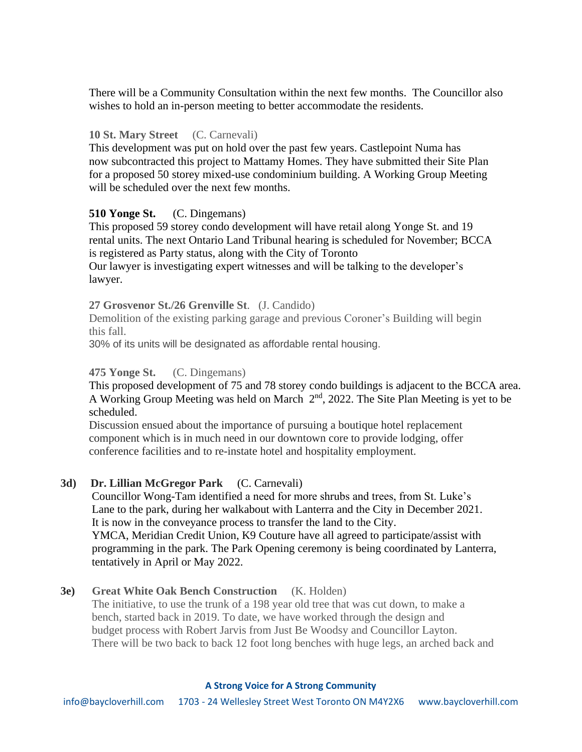There will be a Community Consultation within the next few months. The Councillor also wishes to hold an in-person meeting to better accommodate the residents.

#### **10 St. Mary Street** (C. Carnevali)

 This development was put on hold over the past few years. Castlepoint Numa has now subcontracted this project to Mattamy Homes. They have submitted their Site Plan for a proposed 50 storey mixed-use condominium building. A Working Group Meeting will be scheduled over the next few months.

# **510 Yonge St.** (C. Dingemans)

 This proposed 59 storey condo development will have retail along Yonge St. and 19 rental units. The next Ontario Land Tribunal hearing is scheduled for November; BCCA is registered as Party status, along with the City of Toronto

 Our lawyer is investigating expert witnesses and will be talking to the developer's lawyer.

 **27 Grosvenor St./26 Grenville St**. (J. Candido)

 Demolition of the existing parking garage and previous Coroner's Building will begin this fall.

30% of its units will be designated as affordable rental housing.

# **475 Yonge St.** (C. Dingemans)

This proposed development of 75 and 78 storey condo buildings is adjacent to the BCCA area. A Working Group Meeting was held on March  $2<sup>nd</sup>$ , 2022. The Site Plan Meeting is yet to be scheduled.

 Discussion ensued about the importance of pursuing a boutique hotel replacement component which is in much need in our downtown core to provide lodging, offer conference facilities and to re-instate hotel and hospitality employment.

# **3d) Dr. Lillian McGregor Park** (C. Carnevali)

 Councillor Wong-Tam identified a need for more shrubs and trees, from St. Luke's Lane to the park, during her walkabout with Lanterra and the City in December 2021. It is now in the conveyance process to transfer the land to the City. YMCA, Meridian Credit Union, K9 Couture have all agreed to participate/assist with programming in the park. The Park Opening ceremony is being coordinated by Lanterra, tentatively in April or May 2022.

# **3e) Great White Oak Bench Construction** (K. Holden)

 The initiative, to use the trunk of a 198 year old tree that was cut down, to make a bench, started back in 2019. To date, we have worked through the design and budget process with Robert Jarvis from Just Be Woodsy and Councillor Layton. There will be two back to back 12 foot long benches with huge legs, an arched back and

#### **A Strong Voice for A Strong Community**

info@baycloverhill.com 1703 - 24 Wellesley Street West Toronto ON M4Y2X6 www.baycloverhill.com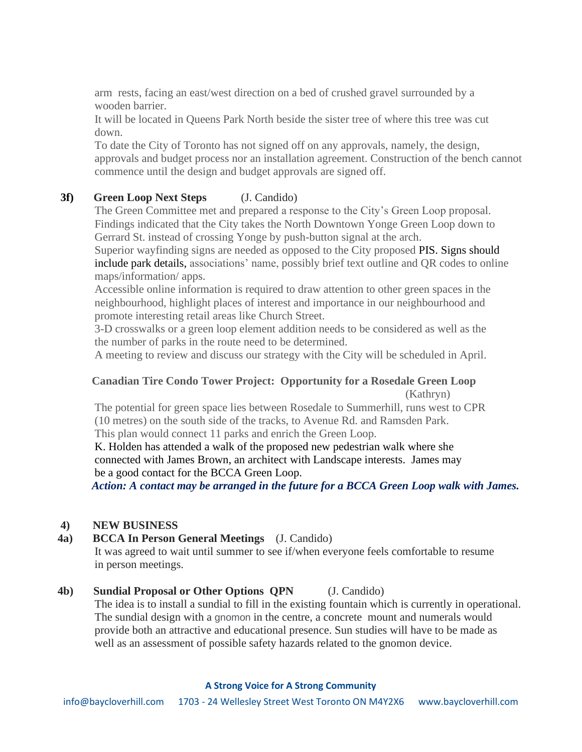arm rests, facing an east/west direction on a bed of crushed gravel surrounded by a wooden barrier.

 It will be located in Queens Park North beside the sister tree of where this tree was cut down.

 To date the City of Toronto has not signed off on any approvals, namely, the design, approvals and budget process nor an installation agreement. Construction of the bench cannot commence until the design and budget approvals are signed off.

# **3f) Green Loop Next Steps** (J. Candido)

 The Green Committee met and prepared a response to the City's Green Loop proposal. Findings indicated that the City takes the North Downtown Yonge Green Loop down to Gerrard St. instead of crossing Yonge by push-button signal at the arch.

 Superior wayfinding signs are needed as opposed to the City proposed PIS. Signs should include park details, associations' name, possibly brief text outline and QR codes to online maps/information/ apps.

 Accessible online information is required to draw attention to other green spaces in the neighbourhood, highlight places of interest and importance in our neighbourhood and promote interesting retail areas like Church Street.

 3-D crosswalks or a green loop element addition needs to be considered as well as the the number of parks in the route need to be determined.

A meeting to review and discuss our strategy with the City will be scheduled in April.

# **Canadian Tire Condo Tower Project: Opportunity for a Rosedale Green Loop** (Kathryn)

 The potential for green space lies between Rosedale to Summerhill, runs west to CPR (10 metres) on the south side of the tracks, to Avenue Rd. and Ramsden Park. This plan would connect 11 parks and enrich the Green Loop.

K. Holden has attended a walk of the proposed new pedestrian walk where she connected with James Brown, an architect with Landscape interests. James may be a good contact for the BCCA Green Loop.

 *Action: A contact may be arranged in the future for a BCCA Green Loop walk with James.*

# **4) NEW BUSINESS**

# **4a) BCCA In Person General Meetings** (J. Candido)

 It was agreed to wait until summer to see if/when everyone feels comfortable to resume in person meetings.

#### **4b) Sundial Proposal or Other Options QPN** (J. Candido)

 The idea is to install a sundial to fill in the existing fountain which is currently in operational. The sundial design with a gnomon in the centre, a concrete mount and numerals would provide both an attractive and educational presence. Sun studies will have to be made as well as an assessment of possible safety hazards related to the gnomon device.

#### **A Strong Voice for A Strong Community**

info@baycloverhill.com 1703 - 24 Wellesley Street West Toronto ON M4Y2X6 www.baycloverhill.com